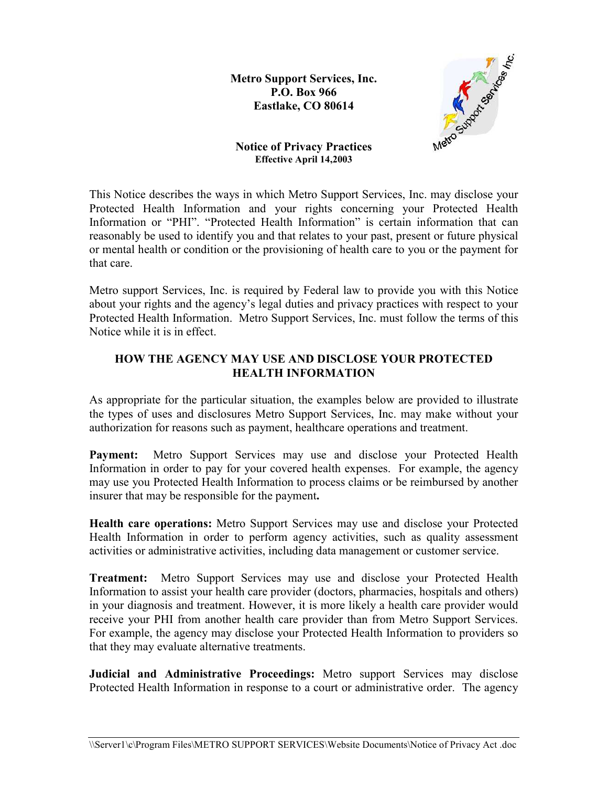**Metro Support Services, Inc. P.O. Box 966 Eastlake, CO 80614**



**Notice of Privacy Practices Effective April 14,2003** 

This Notice describes the ways in which Metro Support Services, Inc. may disclose your Protected Health Information and your rights concerning your Protected Health Information or "PHI". "Protected Health Information" is certain information that can reasonably be used to identify you and that relates to your past, present or future physical or mental health or condition or the provisioning of health care to you or the payment for that care.

Metro support Services, Inc. is required by Federal law to provide you with this Notice about your rights and the agency's legal duties and privacy practices with respect to your Protected Health Information. Metro Support Services, Inc. must follow the terms of this Notice while it is in effect.

## **HOW THE AGENCY MAY USE AND DISCLOSE YOUR PROTECTED HEALTH INFORMATION**

As appropriate for the particular situation, the examples below are provided to illustrate the types of uses and disclosures Metro Support Services, Inc. may make without your authorization for reasons such as payment, healthcare operations and treatment.

Payment: Metro Support Services may use and disclose your Protected Health Information in order to pay for your covered health expenses. For example, the agency may use you Protected Health Information to process claims or be reimbursed by another insurer that may be responsible for the payment**.** 

**Health care operations:** Metro Support Services may use and disclose your Protected Health Information in order to perform agency activities, such as quality assessment activities or administrative activities, including data management or customer service.

**Treatment:** Metro Support Services may use and disclose your Protected Health Information to assist your health care provider (doctors, pharmacies, hospitals and others) in your diagnosis and treatment. However, it is more likely a health care provider would receive your PHI from another health care provider than from Metro Support Services. For example, the agency may disclose your Protected Health Information to providers so that they may evaluate alternative treatments.

**Judicial and Administrative Proceedings:** Metro support Services may disclose Protected Health Information in response to a court or administrative order. The agency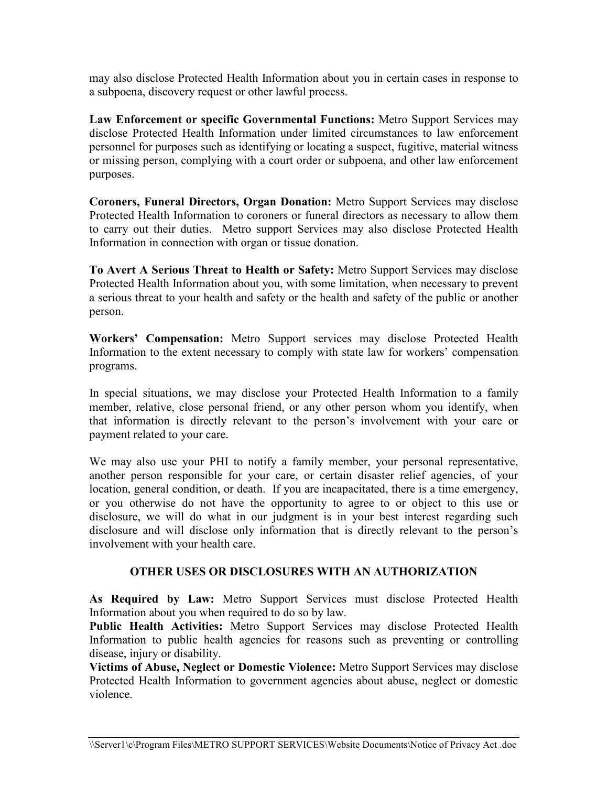may also disclose Protected Health Information about you in certain cases in response to a subpoena, discovery request or other lawful process.

**Law Enforcement or specific Governmental Functions:** Metro Support Services may disclose Protected Health Information under limited circumstances to law enforcement personnel for purposes such as identifying or locating a suspect, fugitive, material witness or missing person, complying with a court order or subpoena, and other law enforcement purposes.

**Coroners, Funeral Directors, Organ Donation:** Metro Support Services may disclose Protected Health Information to coroners or funeral directors as necessary to allow them to carry out their duties. Metro support Services may also disclose Protected Health Information in connection with organ or tissue donation.

**To Avert A Serious Threat to Health or Safety:** Metro Support Services may disclose Protected Health Information about you, with some limitation, when necessary to prevent a serious threat to your health and safety or the health and safety of the public or another person.

**Workers' Compensation:** Metro Support services may disclose Protected Health Information to the extent necessary to comply with state law for workers' compensation programs.

In special situations, we may disclose your Protected Health Information to a family member, relative, close personal friend, or any other person whom you identify, when that information is directly relevant to the person's involvement with your care or payment related to your care.

We may also use your PHI to notify a family member, your personal representative, another person responsible for your care, or certain disaster relief agencies, of your location, general condition, or death. If you are incapacitated, there is a time emergency, or you otherwise do not have the opportunity to agree to or object to this use or disclosure, we will do what in our judgment is in your best interest regarding such disclosure and will disclose only information that is directly relevant to the person's involvement with your health care.

## **OTHER USES OR DISCLOSURES WITH AN AUTHORIZATION**

**As Required by Law:** Metro Support Services must disclose Protected Health Information about you when required to do so by law.

**Public Health Activities:** Metro Support Services may disclose Protected Health Information to public health agencies for reasons such as preventing or controlling disease, injury or disability.

**Victims of Abuse, Neglect or Domestic Violence:** Metro Support Services may disclose Protected Health Information to government agencies about abuse, neglect or domestic violence.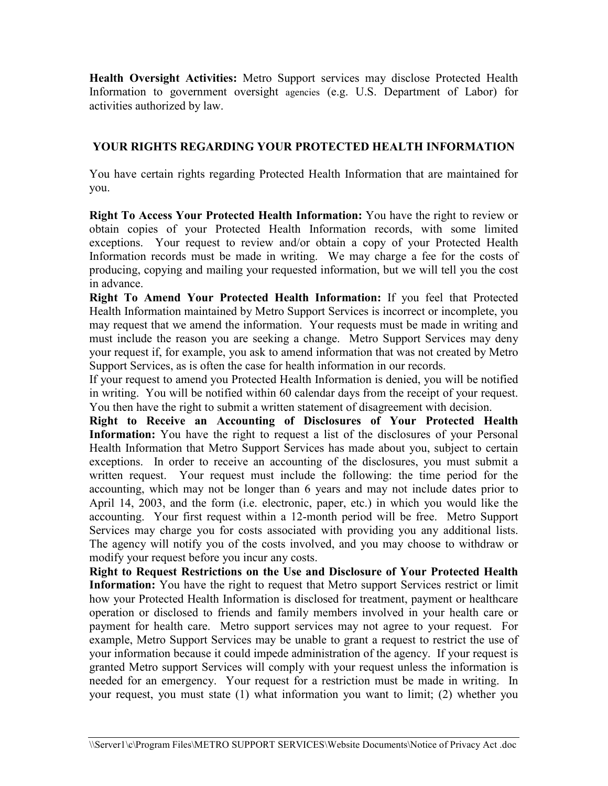**Health Oversight Activities:** Metro Support services may disclose Protected Health Information to government oversight agencies (e.g. U.S. Department of Labor) for activities authorized by law.

# **YOUR RIGHTS REGARDING YOUR PROTECTED HEALTH INFORMATION**

You have certain rights regarding Protected Health Information that are maintained for you.

**Right To Access Your Protected Health Information:** You have the right to review or obtain copies of your Protected Health Information records, with some limited exceptions. Your request to review and/or obtain a copy of your Protected Health Information records must be made in writing. We may charge a fee for the costs of producing, copying and mailing your requested information, but we will tell you the cost in advance.

**Right To Amend Your Protected Health Information:** If you feel that Protected Health Information maintained by Metro Support Services is incorrect or incomplete, you may request that we amend the information. Your requests must be made in writing and must include the reason you are seeking a change. Metro Support Services may deny your request if, for example, you ask to amend information that was not created by Metro Support Services, as is often the case for health information in our records.

If your request to amend you Protected Health Information is denied, you will be notified in writing. You will be notified within 60 calendar days from the receipt of your request. You then have the right to submit a written statement of disagreement with decision.

**Right to Receive an Accounting of Disclosures of Your Protected Health**  Information: You have the right to request a list of the disclosures of your Personal Health Information that Metro Support Services has made about you, subject to certain exceptions. In order to receive an accounting of the disclosures, you must submit a written request. Your request must include the following: the time period for the accounting, which may not be longer than 6 years and may not include dates prior to April 14, 2003, and the form (i.e. electronic, paper, etc.) in which you would like the accounting. Your first request within a 12-month period will be free. Metro Support Services may charge you for costs associated with providing you any additional lists. The agency will notify you of the costs involved, and you may choose to withdraw or modify your request before you incur any costs.

**Right to Request Restrictions on the Use and Disclosure of Your Protected Health Information:** You have the right to request that Metro support Services restrict or limit how your Protected Health Information is disclosed for treatment, payment or healthcare operation or disclosed to friends and family members involved in your health care or payment for health care. Metro support services may not agree to your request. For example, Metro Support Services may be unable to grant a request to restrict the use of your information because it could impede administration of the agency. If your request is granted Metro support Services will comply with your request unless the information is needed for an emergency. Your request for a restriction must be made in writing. In your request, you must state (1) what information you want to limit; (2) whether you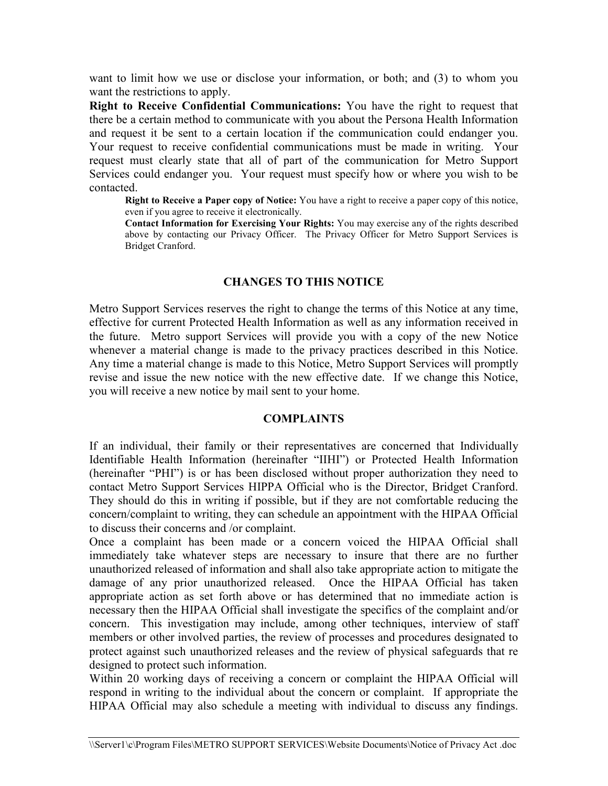want to limit how we use or disclose your information, or both; and (3) to whom you want the restrictions to apply.

**Right to Receive Confidential Communications:** You have the right to request that there be a certain method to communicate with you about the Persona Health Information and request it be sent to a certain location if the communication could endanger you. Your request to receive confidential communications must be made in writing. Your request must clearly state that all of part of the communication for Metro Support Services could endanger you. Your request must specify how or where you wish to be contacted.

**Right to Receive a Paper copy of Notice:** You have a right to receive a paper copy of this notice, even if you agree to receive it electronically.

**Contact Information for Exercising Your Rights:** You may exercise any of the rights described above by contacting our Privacy Officer. The Privacy Officer for Metro Support Services is Bridget Cranford.

### **CHANGES TO THIS NOTICE**

Metro Support Services reserves the right to change the terms of this Notice at any time, effective for current Protected Health Information as well as any information received in the future. Metro support Services will provide you with a copy of the new Notice whenever a material change is made to the privacy practices described in this Notice. Any time a material change is made to this Notice, Metro Support Services will promptly revise and issue the new notice with the new effective date. If we change this Notice, you will receive a new notice by mail sent to your home.

#### **COMPLAINTS**

If an individual, their family or their representatives are concerned that Individually Identifiable Health Information (hereinafter "IIHI") or Protected Health Information (hereinafter "PHI") is or has been disclosed without proper authorization they need to contact Metro Support Services HIPPA Official who is the Director, Bridget Cranford. They should do this in writing if possible, but if they are not comfortable reducing the concern/complaint to writing, they can schedule an appointment with the HIPAA Official to discuss their concerns and /or complaint.

Once a complaint has been made or a concern voiced the HIPAA Official shall immediately take whatever steps are necessary to insure that there are no further unauthorized released of information and shall also take appropriate action to mitigate the damage of any prior unauthorized released. Once the HIPAA Official has taken appropriate action as set forth above or has determined that no immediate action is necessary then the HIPAA Official shall investigate the specifics of the complaint and/or concern. This investigation may include, among other techniques, interview of staff members or other involved parties, the review of processes and procedures designated to protect against such unauthorized releases and the review of physical safeguards that re designed to protect such information.

Within 20 working days of receiving a concern or complaint the HIPAA Official will respond in writing to the individual about the concern or complaint. If appropriate the HIPAA Official may also schedule a meeting with individual to discuss any findings.